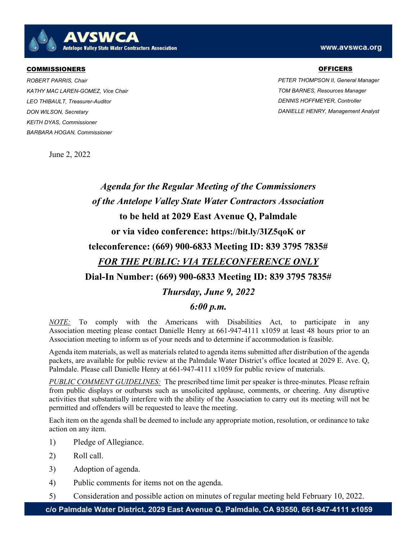AVSWCA Antelope Valley State Water Contractors Association

## . COMMISSIONERS

ROBERT PARRIS, Chair KATHY MAC LAREN-GOMEZ, Vice Chair LEO THIBAULT, Treasurer-Auditor DON WILSON, Secretary KEITH DYAS, Commissioner BARBARA HOGAN, Commissioner

## www.avswca.org

## **OFFICERS**

PETER THOMPSON II, General Manager TOM BARNES, Resources Manager DENNIS HOFFMEYER, Controller DANIELLE HENRY, Management Analyst

June 2, 2022



NOTE: To comply with the Americans with Disabilities Act, to participate in any Association meeting please contact Danielle Henry at 661-947-4111 x1059 at least 48 hours prior to an Association meeting to inform us of your needs and to determine if accommodation is feasible.

Agenda item materials, as well as materials related to agenda items submitted after distribution of the agenda packets, are available for public review at the Palmdale Water District's office located at 2029 E. Ave. Q, Palmdale. Please call Danielle Henry at 661-947-4111 x1059 for public review of materials.

PUBLIC COMMENT GUIDELINES: The prescribed time limit per speaker is three-minutes. Please refrain from public displays or outbursts such as unsolicited applause, comments, or cheering. Any disruptive activities that substantially interfere with the ability of the Association to carry out its meeting will not be permitted and offenders will be requested to leave the meeting.

Each item on the agenda shall be deemed to include any appropriate motion, resolution, or ordinance to take action on any item.

- 1) Pledge of Allegiance.
- 2) Roll call.
- 3) Adoption of agenda.
- 4) Public comments for items not on the agenda.
- 5) Consideration and possible action on minutes of regular meeting held February 10, 2022.

c/o Palmdale Water District, 2029 East Avenue Q, Palmdale, CA 93550, 661-947-4111 x1059